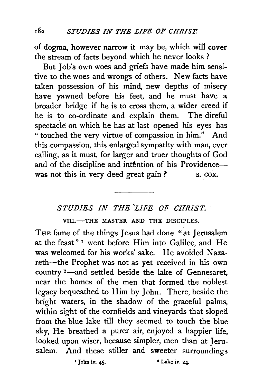of dogma, however narrow it may be, which will cover the stream of facts beyond which he never looks ?

But Job's own woes and griefs have made him sensitive to the woes and wrongs of others. New facts have taken possession of his mind, new depths of misery have yawned before his feet, and he must have a broader bridge if he is to cross them, a wider creed if he is to co-ordinate and explain them. The direful spectacle on which he has at last opened his eyes has " touched the very virtue of compassion in him." And this compassion, this enlarged sympathy with man, ever calling, as it must, for larger and truer thoughts of God and of the discipline and intention of his Providencewas not this in very deed great gain ? s. cox.

## *STUDIES IN THE 'LIFE OF CHRIST.*

VIII.-THE MASTER AND THE DISCIPLES.

THE fame of the things Jesus had done "at Jerusalem at the feast" 1 went before Him into Galilee, and He was welcomed for his works' sake. He avoided Nazareth-the Prophet was not as yet received in his own country <sup>2</sup>-and settled beside the lake of Gennesaret, near the homes of the men that formed the noblest legacy bequeathed to Him by John. There, beside the bright waters, in the shadow of the graceful palms, within sight of the cornfields and vineyards that sloped from the blue lake till they seemed to touch the blue sky, He breathed a purer air, enjoyed a happier life, looked upon wiser, because simpler, men than at Jerusalem. And these stiller and sweeter surroundings

• John iv. 45. • Luke iv. 24.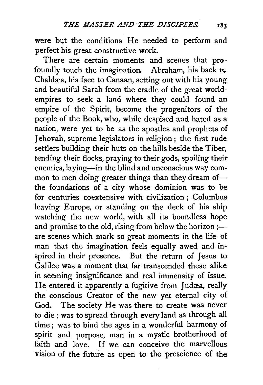were but the conditions He needed to perform and perfect his great constructive work.

There are certain moments and scenes that pro· foundly touch the imagination. Abraham, his back  $\tau$ . Chaldæa, his face to Canaan, setting out with his young and beautiful Sarah from the cradle of the great worldempires to seek a land where they could found an empire of the Spirit, become the progenitors of the people of the Book, who, while despised and hated as a nation, were yet to be as the apostles and prophets of Jehovah, supreme legislators in religion; the first rude settlers building their huts on the hills beside the Tiber, tending their flocks, praying to their gods, spoiling their enemies, laying-in the blind and unconscious way common to men doing greater things than they dream ofthe foundations of a city whose dominion was to be for centuries coextensive with civilization ; Columbus leaving Europe, or standing on the deck of his ship watching the new world, with all its boundless hope and promise to the old, rising from below the horizon ;are scenes which mark so great moments in the life of man that the imagination feels equally awed and inspired in their presence. But the return of Jesus to Galilee was a moment that far transcended these alike in seeming insignificance and real immensity of issue. He entered it apparently a fugitive from Judæa, really the conscious Creator of the new yet eternal city of God. The society He was there to create was never to die; was to spread through every land as through all time ; was to bind the ages in a wonderful harmony of spirit and purpose, man in a mystic brotherhood of faith and love. If we can conceive the marvellous vision of the future as open to the prescience of the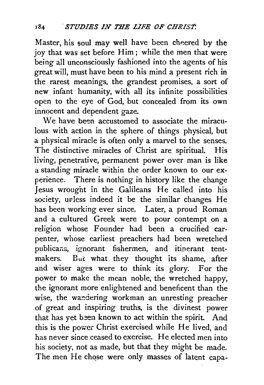Master, his soul may well have been cheered by the joy that was set before Him; while the men that were being all unconsciously fashioned into the agents of his great will, must have been to his mind a present rich in the rarest meanings, the grandest promises, a sort of new infant humanity, with all its infinite possibilities open to the eye of God, but concealed from its own innocent and dependent gaze.

We have been accustomed to associate the miraculous with action in the sphere of things physical, but a physical miracle is often only a marvel to the senses, The distinctive miracles of Christ are spiritual. His living, penetrative, permanent power over man is like a standing miracle within the order known to our experience. There is nothing in history like the change Jesus wrougnt in the Galileans He called into his society, uvless indeed it be the similar changes He has been working ever since. Later, a proud Roman and a cultured Greek were to pour contempt on a religion whose Founder had been a crucified carpenter, whose earliest preachers had been wretched publicans, ignorant fishermen, and itinerant tentmakers. But what they thought its shame, after and wiser ages were to think its glory. For the power to make the mean noble, the wretched happy, the ignorant more enlightened and beneficent than the wise, the wandering workman an unresting preacher of great and inspiring truths, is the divinest power that has yet been known to act within the spirit. And this is the power Christ exercised while He lived, and has never since ceased to exercise. He elected men into his society, not as made, but that they might be made. The men He chose were only masses of latent capa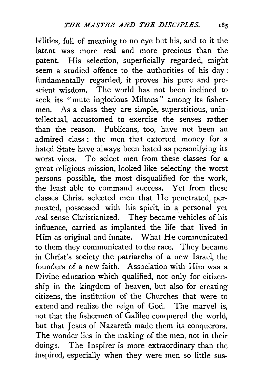bilities, full of meaning to no eye but his, and to it the latent was more real and more precious than the patent. His selection, superficially regarded, might seem a studied offence to the authorities of his day; fundamentally regarded, it proves his pure and prescient wisdom. The world has not been inclined to seek its "mute inglorious Miltons" among its fishermen. As a class they are simple, superstitious, unintellectual, accustomed to exercise the senses rather than the reason. Publicans, too, have not been an admired class : the men that extorted money for a hated State have always been hated as personifying its worst vices. To select men from these classes for a great religious mission, looked like selecting the worst persons possible, the most disqualified for the work, the least able to command success. Yet from these classes Christ selected men that He penetrated, permeated, possessed with his spirit, in a personal yet real sense Christianized. They became vehicles of his influence, carried as implanted the life that lived in Him as original and innate. What He communicated to them they communicated to the race. They became in Christ's society the patriarchs of a new Israel, the founders of a new faith. Association with Him was a Divine education which qualified, not only for citizenship in the kingdom of heaven, but also for creating citizens, the institution of the Churches that were to extend and realize the reign of God. The marvel is, not that the fishermen of Galilee conquered the world, but that Jesus of Nazareth made them its conquerors. The wonder lies in the making of the men, not in their doings. The Inspirer is more extraordinary than the inspired, especially when they were men so little sus-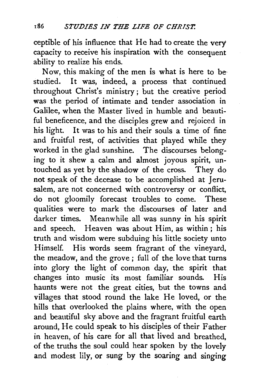ceptible of his influence that He had to create the very capacity to receive his inspiration with the consequent ability to realize his ends.

Now, this making of the men is what is here to bestudied. It was, indeed, a process that continued throughout Christ's ministry; but the creative period was the period of intimate and tender association in Galilee, when the Master lived in humble and beautiful beneficence, and the disciples grew and rejoiced in his light. It was to his and their souls a time of fine and fruitful rest, of activities that played while they worked in the glad sunshine. The discourses belonging to it shew a calm and almost joyous spirit, untouched as yet by the shadow of the cross. They do not speak of the decease to be accomplished at Jerusalem, are not concerned with controversy or conflict, do not gloomily forecast troubles to come. These qualities were to mark the discourses of later and darker times. Meanwhile all was sunny in his spirit and speech. Heaven was about Him, as within; his truth and wisdom were subduing his little society unto Himself. His words seem fragrant of the vineyard, the meadow, and the grove ; full of the love that turns into glory the light of common day, the spirit that changes into music its most familiar sounds. His haunts were not the great cities, but the towns and villages that stood round the lake He loved, or the hills that overlooked the plains where, with the open and beautiful sky above and the fragrant fruitful earth around, He could speak to his disciples of their Father in heaven, of his care for all that lived and breathed, of the truths the soul could hear spoken by the lovely and modest lily, or sung by the soaring and singing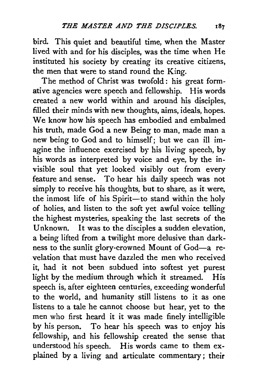bird. This quiet and beautiful time, when the Master lived with and for his disciples, was the time when He instituted his society by creating its creative citizens; the men that were to stand round the King.

The method of Christ was twofold : his great formative agencies were speech and fellowship. His words created a new world within and around his disciples, filled their minds with new thoughts, aims, ideals, hopes. We know how his speech has embodied and embalmed his truth, made God a new Being to man, made man a hew being to God and to himself; but we can ill imagine the influence exercised by his living speech, by his words as interpreted by voice and eye, by the invisible soul that yet looked visibly out from every feature and sense. To hear his daily speech was not simply to receive his thoughts, but to share, as it were, the inmost life of his Spirit-to stand within the holy of holies, and listen to the soft yet awful voice telling the highest mysteries, speaking the last secrets of the Unknown. It was to the disciples a sudden elevation, a being lifted from a twilight more delusive than darkness to the sunlit glory-crowned Mount of God-a revelation that must have dazzled the men who received it, had it not been subdued into softest yet purest light by the medium through which it streamed. His speech is, after eighteen centuries, exceeding wonderful to the world, and humanity still listens to it as one listens to a tale he cannot choose but hear, yet to the men who first heard it it was made finely intelligible by his person. To hear his speech was to enjoy his fellowship, and his fellowship created the sense that understood his speech. His words came to them explained by a living and articulate commentary ; their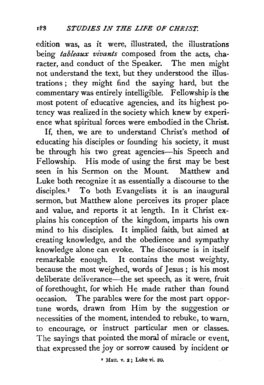edition was, as it were, illustrated, the illustrations being *tableaux vivants* composed from the acts, character, and conduct of the Speaker. The men might not understand the text, but they understood the illustrations ; they might find the saying hard, but the commentary was entirely intelligible. Fellowship is the most potent of educative agencies, and its highest potency was realized in the society which knew by experience what spiritual forces were embodied in the Christ.

If, then, we are to understand Christ's method of educating his disciples or founding his society, it must be through his two great agencies-his Speech and Fellowship. His mode of using the first may be best seen in his Sermon on the Mount. Matthew and Luke both recognize it as essentially a discourse to the disciples.<sup>1</sup> To both Evangelists it is an inaugural sermon, but Matthew alone perceives its proper place and value, and reports it at length. In it Christ explains his conception of the kingdom, imparts his own mind to his disciples. It implied faith, but aimed at creating knowledge, and the obedience and sympathy knowledge alone can evoke. The discourse is in itself remarkable enough. It contains the most weighty, because the most weighed, words of Jesus ; is his most deliberate deliverance-the set speech, as it were, fruit of forethought, for which He made rather than found occasion. The parables were for the most part opportune words, drawn from Him by the suggestion or necessities of the moment, intended to rebuke, to warn, to encourage, or instruct particular men or classes. The sayings that pointed the moral of miracle or event, that expressed the joy or sorrow caused by incident or

• Matt. v. 2 ; Luke vi. 20,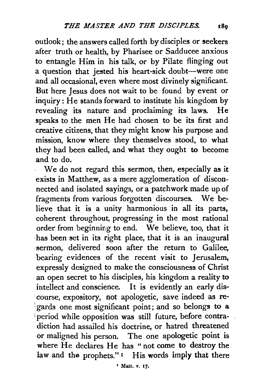outlook; the answers called forth by disciples or seekers after truth or health, by Pharisee or Sadducee anxious to entangle Him in his talk, or by Pilate flinging out a question that jested his heart-sick doubt-were one and all occasional, even where most divinely significant: But here Jesus does not wait to be found by event or inquiry: He stands forward to institute his kingdom by revealing its nature and proclaiming its laws. He speaks to the men He had chosen to be its first and creative citizens, that they might know his purpose and mission, know where they themselves stood, to what they had been called, and what they ought to become and to do.

We do not regard this sermon, then, especially as it exists in Matthew, as a mere agglomeration of disconnected and isolated sayings, or a patchwork made up of fragments from various forgotten discourses. We believe that it is a unity harmonious in all its parts, coherent throughout, progressing in the most rational order from beginning to end. We believe, too, that it has been set in its right place, that it is an inaugural ·sermon, delivered soon after the return to Galilee, bearing evidences of the recent visit to Jerusalem, expressly designed to make the consciousness of Christ an open secret to his disciples, his kingdom a reality to intellect and conscience. It is evidently an early discourse, expository, not apologetic, save indeed as reperiod while opposition was still future, before contradiction had assailed his doctrine, or hatred threatened or maligned his person. The one apologetic point is where He declares He has "not come to destroy the law and the prophets."<sup>1</sup> His words imply that there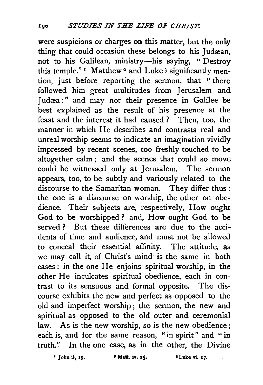were suspicions or charges on this matter, but the only thing that could occasion these belongs to his Judæan, not to his Galilean, ministry-his saying, " Destroy this temple."  $\frac{1}{1}$  Matthew<sup>2</sup> and Luke<sup>3</sup> significantly mention, just before reporting the sermon, that ''there followed him great multitudes from Jerusalem and Judæa:" and may not their presence in Galilee be best explained as the result of his presence at the feast and the interest it had caused ? Then, too, the manner in which He describes and contrasts real and unreal worship seems to indicate an imagination vividly impressed by recent scenes, too freshly touched to be altogether calm ; and the scenes that could so move could be witnessed only at Jerusalem. The sermon appears, too, to be subtly and variously related to the discourse to the Samaritan woman. They differ thus : the one is a discourse on worship, the other on obedience. Their subjects are, respectively, How ought God to be worshipped ? and, How ought God to be served? But these differences are due to the accidents of time and audience, and must not be allowed to conceal their essential affinity. The attitude, as we may call it, of Christ's mind is the same in both cases : in the one He enjoins spiritual worship, in the other He inculcates spiritual obedience, each in contrast to its sensuous and formal opposite. The discourse exhibits the new and perfect as opposed to the old and imperfect worship; the sermon, the new and spiritual as opposed to the old outer and ceremonial law. As is the new worship, so is the new obedience; each is, and for the same reason, "in spirit" and "in truth." In the one case, as in the other, the Divine

 $'$  John ii, 19.  $'$  Matt. iv. 25.  $'$  I Luke vi. 17.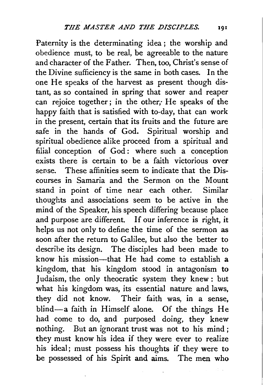Paternity is the determinating idea ; the worship and obedience must, to be real, be agreeable to the nature and character of the Father. Then, too, Christ's sense of the Divine sufficiency is the same in both cases. In the one He speaks of the harvest as present though distant, as so contained in spring that sower and reaper can rejoice together; in the other, He speaks of the happy faith that is satisfied with to-day, that can work in the present, certain that its fruits and the future are safe in the hands of God. Spiritual worship and spiritual obedience alike proceed from a spiritual and filial conception of God: where such a conception exists there is certain to be a faith victorious over sense. These affinities seem to indicate that the Discourses in Samaria and the Sermon on the Mount stand in point of time near each other. Similar thoughts and associations seem to be active in the mind of the Speaker, his speech differing because place and purpose are different. If our inference is right, it helps us not only to define the time of the sermon as soon after the return to Galilee, but also the better to describe its design. The disciples had been made to know his mission—that He had come to establish  $a$ kingdom, that his kingdom stood in antagonism to Judaism, the only theocratic system they knew : but what his kingdom was, its essential nature and laws, they did not know. Their faith was, in a sense, blind-a faith in Himself alone. Of the things He had come to do, and purposed doing, they knew nothing. But an ignorant trust was not to his mind ; they must know his idea if they were ever to realize his ideal; must possess his thoughts if they were to be possessed of his Spirit and aims. The men who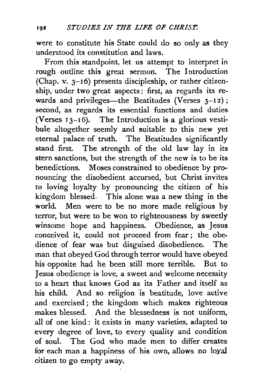were to constitute his State could do so only as they understood its constitution and laws.

From this standpoint, let us attempt to interpret in rough outline this great sermon. The Introduction (Chap. v.  $3-16$ ) presents discipleship, or rather citizenship, under two great aspects : first, as regards its rewards and privileges-the Beatitudes (Verses  $3-12$ ): second, as regards its essential functions and duties (Verses  $13-16$ ). The Introduction is a glorious vestibule altogether seemly and suitable to this new yet eternal palace of truth. The Beatitudes significantly stand first. The strength of the old law lay in its stern sanctions, but the strength of the new is to be its benedictions. Moses constrained to obedience by pronouncing the disobedient accursed, but Christ invites to loving loyalty by pronouncing the citizen of his kingdom blessed. This alone was a new thing in the world. Men were to be no more made religious by terror, but were to be won to righteousness by sweetly winsome hope and happiness. Obedience, as Jesus conceived it, could not proceed from fear ; the obedience of fear was but disguised disobedience. The man that obeyed God through terror would have obeyed his opposite had he been still more terrible. But to Jesus obedience is love, a sweet and welcome necessity to a heart that knows God as its Father and itself as his child. And so religion 'is beatitude, love active and exercised; the kingdom which makes righteous makes blessed. And the blessedness is not uniform, all of one kind : it exists in many varieties, adapted to every degree of love, to every quality and condition of soul. The God who made men to differ creates for each man a happiness of his own, allows no loyal citizen to go empty away.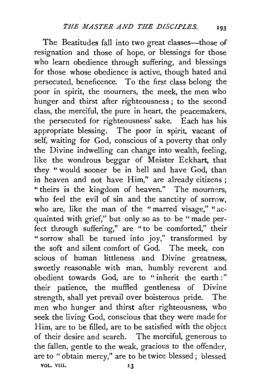The Beatitudes fall into two great classes—those of resignation and those of hope, or blessings for those who learn obedience through suffering, and blessings for those whose obedience is active, though hated and persecuted, beneficence. To the first class belong the poor in spirit, the mourners, the meek, the men who hunger and thirst after righteousness ; to the second class, the merciful, the pure in heart, the peacemakers, the persecuted for righteousness' sake. Each has his appropriate blessing. The poor in spirit, vacant of self, waiting for God, conscious of a poverty that only the Divine indwelling can change into wealth, feeling, like the wondrous beggar of Meister Eckhart, that they " would sooner be in hell and have God, than in heaven and not have Him," are already citizens ; "theirs is the kingdom of heaven." The mourners, who feel the evil of sin and the sanctity of sorrow, who are, like the man of the "marred visage," "acquainted with grief," but only so as to be "made perfect through suffering," are " to be comforted," their " sorrow shall be turned into joy," transformed by the soft and silent comfort of God. The meek, con scious of human littleness and Divine greatness, sweetly reasonable with man, humbly reverent and obedient towards God, are to " inherit the earth :" their patience, the muffled gentleness of Divine strength, shall yet prevail over boisterous pride. The men who hunger and thirst after righteousness, who seek the living God, conscious that they were made for Him, are to be filled, are to be satisfied with the object of their desire and search. The merciful, generous to the fallen, gentle to the weak, gracious to the offender. are to " obtain mercy," are to be twice blessed; blessed vol. VIII. 13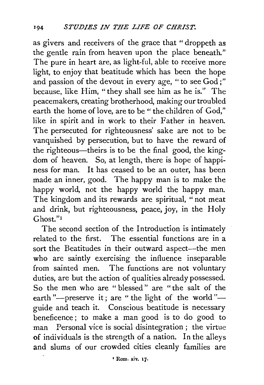as givers and receivers of the grace that "droppeth as the gentle rain from heaven upon the place beneath." The pure in heart are, as light-ful, able to receive more light, to enjoy that beatitude which has been the hope and passion of the devout in every age, " to see God;" because, like Him, "they shall see him as he is." The peacemakers, creating brotherhood, making our troubled earth the home of love, are to be "the children of God," like in spirit and in work to their Father in heaven. The persecuted for righteousness' sake are not to be vanquished by persecution, but to have the reward of the righteous—theirs is to be the final good, the kingdom of heaven. So, at length, there is hope of happiness for man. It has ceased to be an outer, has been made an inner, good. The happy man is to make the happy world, not the happy world the happy man. The kingdom and its rewards are spiritual, " not meat and drink, but righteousness, peace, joy, in the Holy Ghost."<sup>1</sup>

The second section of the Introduction is intimately related to the first. The essential functions are in a sort the Beatitudes in their outward aspect-the men who are saintly exercising the influence inseparable from sainted men. The functions are not voluntary duties, are but the action of qualities already possessed. So the men who are " blessed " are "the salt of the earth "--preserve it; are " the light of the world "-guide and teach it. Conscious beatitude is necessary beneficence ; to make a man good is to do good to man Personal vice is social disintegration ; the virtue of individuals is the strength of a nation. In the alleys and slums of our crowded cities cleanly families are

'Rom. xiv. 17.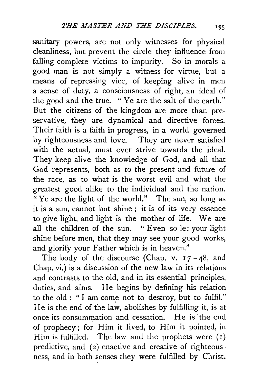sanitary powers, are not only witnesses for physical cleanliness, but prevent the circle they influence from falling complete victims to impurity. So in morals a good man is not simply a witness for virtue, but a means of repressing vice, of keeping alive in men a sense of duty, a consciousness of right, an ideal of the good and the true. "Ye are the salt of the earth." But the citizens of the kingdom are more than preservative, they are dynamical and directive forces. Their faith is a faith in progress, in a world governed by righteousness and love. They are never satisfied with the actual, must ever strive towards the ideal. They keep alive the knowledge of God, and all that God represents, both as to the present and future of the race, as to what is the worst evil and what the greatest good alike to the individual and the nation. "Ye are the light of the world." The sun, so long as it is a sun, cannot but shine ; it is of its very essence to give light, and light is the mother of life. We are all the children of the sun. "Even so let your light all the children of the sun. shine before men, that they may see your good works, and glorify your Father which is in heaven."

The body of the discourse (Chap. v.  $17 - 48$ , and Chap. vi.) is a discussion of the new law in its relations and contrasts to the old, and in its essential principles, duties, and aims. He begins by defining his relation to the old : "I am come not to destroy, but to fulfil." He is the end of the law, abolishes by fulfilling it, is at once its consummation and cessation. He is 'the end of prophecy; for Him it lived, to Him it pointed, in Him is fulfilled. The law and the prophets were  $(1)$ predictive, and (2) enactive and creative of righteousness, and in both senses they were fulfilled by Christ.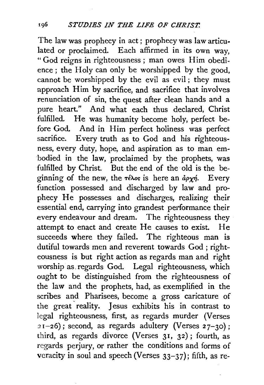The law was prophecy in act; prophecy was law articu· lated or proclaimed. Each affirmed in its own way, "God reigns in righteousness; man owes Him obedience; the Holy can only be worshipped by the good, cannot be worshipped by the evil as evil ; they must approach Him by sacrifice, and sacrifice that involves renunciation of sin, the quest after clean hands and a pure heart." And what each thus declared, Christ fulfilled. He was humanity become holy, perfect before God. And in Him perfect holiness was perfect sacrifice. Every truth as to God and his righteousness, every duty, hope, and aspiration as to man em bodied in the law, proclaimed by the prophets, was fulfilled by Christ. But the end of the old is the beginning of the new, the  $\tau \in \lambda$ os is here an  $d\rho \chi \eta$ . Every function possessed and discharged by law and prophecy He possesses and discharges, realizing their essential end, carrying into grandest performance their every endeavour and dream. The righteousness they attempt to enact and create He causes to exist. He succeeds where they failed. The righteous man is dutiful towards men and reverent towards God ; righteousness is but right action as regards man and right worship as. regards God. Legal righteousness, which ought to be distinguished from the righteousness of the law and the prophets, had, as exemplified in the scribes and Pharisees, become a gross caricature of the great reality. Jesus exhibits his in contrast to legal righteousness, first, as regards murder (Verses  $21-26$ ; second, as regards adultery (Verses  $27-30$ ); third, as regards divorce (Verses 31, 32); fourth, as regards perjury, or rather the conditions and forms of veracity in soul and speech {Verses 33-37); fifth, as re-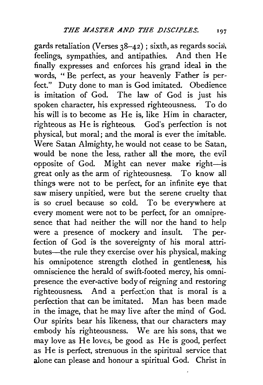gards retaliation (Verses 38-42); sixth, as regards socia\ feelings, sympathies, and antipathies. And then He finally expresses and enforces his grand ideal in the words, "Be perfect, as your heavenly Father is perfeet." Duty done to man is God imitated. Obedience is imitation of God. The law of God is just his spoken character, his expressed righteousness. To do his will is to become as He is, like Him in character, righteous as He is righteous. God's perfection is not physical, but moral; and the moral is ever the imitable. Were Satan Almighty, he would not cease to be Satan, would be none the less, rather all the more, the evil opposite of God. Might can never make right-is great only as the arm of righteousness. To know all things were not to be perfect, for an infinite eye that saw misery unpitied, were but the serene cruelty that is so cruel because so cold. To be everywhere at every moment were not to be perfect, for an omnipresence that had neither the will nor the hand to help were a presence of mockery and insult. The perfection of God is the sovereignty of his moral attributes—the rule they exercise over his physical, making his omnipotence strength clothed in gentleness, his omniscience the herald of swift-footed mercy, his omnipresence the ever-active body of reigning and restoring righteousness. And a perfection that is moral is a perfection that can be imitated. Man has been made in the image, that he may live after the mind of God. Our spirits bear his likeness, that our characters may embody his righteousness. We are his sons, that we may love as He loves, be good as He is good, perfect as He is perfect, strenuous in the spiritual service that alone can please and honour a spiritual God. Christ in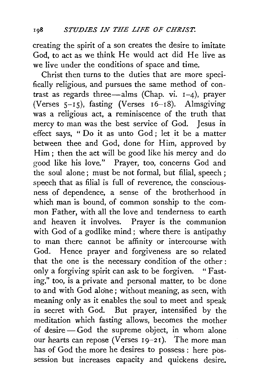creating the spirit of a son creates the desire to imitate God, to act as we think He would act did He live as we live under the conditions of space and time.

Christ then turns to the duties that are more specifically religious, and pursues the same method of contrast as regards three-alms (Chap. vi.  $1-4$ ), prayer (Verses  $5-15$ ), fasting (Verses  $16-18$ ). Almsgiving was a religious act, a reminiscence of the truth that mercy to man was the best service of God. Jesus in effect says, " Do it as unto God; let it be a matter between thee and God, done for Him, approved by Him; then the act will be good like his mercy and do good like his love." Prayer, too, concerns God and the soul alone; must be not formal, but filial, speech ; speech that as filial is full of reverence, the consciousness of dependence, a sense of the brotherhood in which man is bound, of common sonship to the common Father, with all the love and tenderness to earth and heaven it involves. Prayer is the communion with God of a godlike mind; where there is antipathy to man there cannot be affinity or intercourse with God. Hence prayer and forgiveness are so related that the one is the necessary condition of the other : only a forgiving spirit can ask to be forgiven. "Fasting," too, is a private and personal matter, to be done to and with God alo'ne ; without meaning, as seen, with meaning only as it enables the soul to meet and speak in secret with God. But prayer, intensified by the meditation which fasting allows, becomes the mother of desire - God the supreme object, in whom alone our hearts can repose (Verses  $19-21$ ). The more man has of God the more he desires to possess : here possession but increases capacity and quickens desire.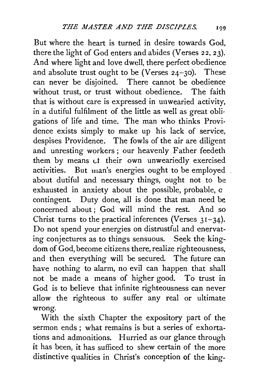But where the heart is turned in desire towards God, there the light of God enters and abides (Verses 22, 23). And where light and love dwell, there perfect obedience and absolute trust ought to be (Verses  $24-30$ ). These can never be disjoined. There cannot be obedience without trust, or trust without obedience. The faith that is without care is expressed in unwearied activity, in a dutiful fulfilment of the little as well as great obligations of life and time. The man who thinks Provi· dence exists simply to make up his lack of service, despises Providence. The fowls of the air are diligent and unresting workers; our heavenly Father feedeth them by means ct their own unweariedly exercised activities. But man's energies ought to be employed about dutiful and necessary things, ought not to be exhausted in anxiety about the possible, probable, *a*  contingent. Duty done, all is done that man need be concerned about ; God will mind the rest. And so Christ turns to the practical inferences (Verses  $31-34$ ). Do not spend your energies on distrustful and enervating conjectures as to things sensuous. Seek the kingdom of God, become citizens there, realize righteousness, and then everything will be secured. The future can have nothing to alarm, no evil can happen that shall not be made a means of higher good. To trust in God is to believe that infinite righteousness can never allow the righteous to suffer any real or ultimate wrong.

With the sixth Chapter the expository part of the sermon ends ; what remains is but a series of exhortations and admonitions. Hurried as our glance through it has been, it has sufficed to shew certain of the more distinctive qualities in Christ's conception of the king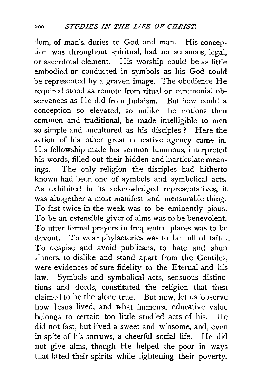dom, of man's duties to God and man. His conception was throughout spiritual, had no sensuous, legal, or sacerdotal element. His worship could be as little embodied or conducted in symbols as his God could be represented by a graven image. The obedience He required stood as remote from ritual or ceremonial observances as He did from Judaism. But how could a conception so elevated, so unlike the notions then common and traditional, be made intelligible to men so simple and uncultured as his disciples ? Here the action of his other great educative agency came in. His fellowship made his sermon luminous, interpreted his words, filled out their hidden and inarticulate meanings. The only religion the disciples had hitherto known had been one of symbols and symbolical acts. As exhibited in its acknowledged representatives, it was altogether a most manifest and mensurable thing. To fast twice in the week was to be eminently pious. To be an ostensible giver of alms was to be benevolent. To utter formal prayers in frequented places was to be devout. To wear phylacteries was to be full of faith.. To despise and avoid publicans, to hate and shun sinners, to dislike and stand apart from the Gentiles, were evidences of sure fidelity to the Eternal and his law. Symbols and symbolical acts, sensuous distinctions and deeds, constituted the religion that then claimed to be the alone true. But now, let us observe how Jesus lived, and what immense educative value belongs to certain too little studied acts of his. He did not fast, but lived a sweet and winsome, and, even in spite of his sorrows, a cheerful social life. He did not give alms, though He helped the poor in ways that lifted their spirits while lightening their poverty.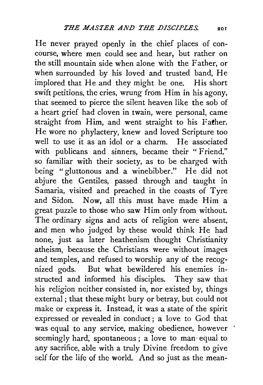He never prayed openly in the chief places of concourse, where men could see and hear, but rather on the still mountain side when alone with the Father, or when surrounded by his loved and trusted band, He implored that He and they might be one. His short swift petitions, the cries, wrung from Him in his agony, that seemed to pierce the silent heaven like the sob of a heart grief had cloven in twain, were personal, came straight from Him, and went straight to his Father. He wore no phylactery, knew and loved Scripture too well to use it as an idol or a charm. He associated with publicans and sinners, became their "Friend," so familiar with their society, as to be charged with being "gluttonous and a winebibber." He did not abjure the Gentiles, passed through and taught in Samaria, visited and preached in the coasts of Tyre and Sidon. Now, all this must have made Him a great puzzle to those who saw Him only from without. The ordinary signs and acts of religion were absent, and men who judged by these would think He had none, just as later heathenism thought Christianity atheism, because the Christians were without images and temples, and refused to worship any of the recognized gods. But what bewildered his enemies instructed and informed his disciples. They saw that his religion neither consisted in, nor existed by, things external; that these might bury or betray, but could not make or express it. Instead, it was a state of the spirit expressed or revealed in conduct; a love to God that was equal to any service, making obedience, however seemingly hard, spontaneous; a love to man equal to any sacrifice, able with a truly Divine freedom to give self for the life of the world. And so just as the mean